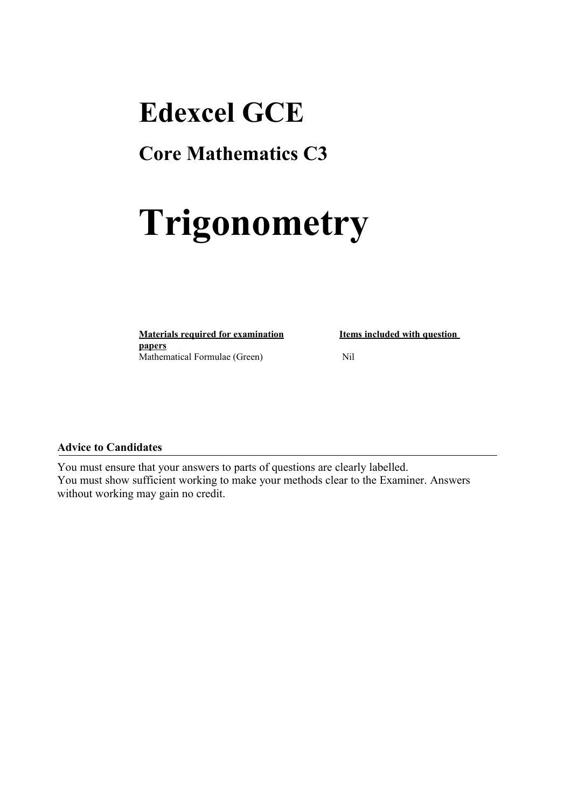## **Edexcel GCE**

### **Core Mathematics C3**

# **Trigonometry**

**Materials required for examination Items included with question papers** Mathematical Formulae (Green)Nil

#### **Advice to Candidates**

You must ensure that your answers to parts of questions are clearly labelled. You must show sufficient working to make your methods clear to the Examiner. Answers without working may gain no credit.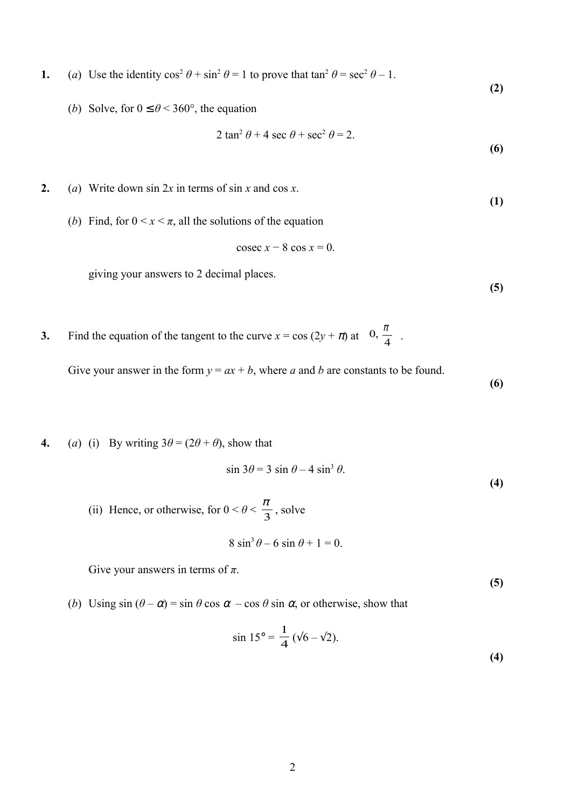- **1.** (*a*) Use the identity  $\cos^2 \theta + \sin^2 \theta = 1$  to prove that  $\tan^2 \theta = \sec^2 \theta 1$ .
	- (*b*) Solve, for  $0 \le \theta < 360^{\circ}$ , the equation

$$
2 \tan^2 \theta + 4 \sec \theta + \sec^2 \theta = 2.
$$

**(6)**

**(2)**

- **2.** (*a*) Write down sin 2*x* in terms of sin *x* and cos *x*. **(1)**
	- (*b*) Find, for  $0 \le x \le \pi$ , all the solutions of the equation

$$
\csc x - 8 \cos x = 0.
$$

giving your answers to 2 decimal places.

**3.** Find the equation of the tangent to the curve  $x = \cos(2y + \pi)$  at  $\left(0, \frac{\pi}{4}\right)$  $\left(0,\frac{\pi}{4}\right)$  $\overline{\phantom{a}}$ ſ 4  $0, \frac{\pi}{4}$ .

Give your answer in the form  $y = ax + b$ , where *a* and *b* are constants to be found.

**(6)**

**(4)**

**(5)**

**4.** (*a*) (i) By writing  $3\theta = (2\theta + \theta)$ , show that

$$
\sin 3\theta = 3 \sin \theta - 4 \sin^3 \theta.
$$

(ii) Hence, or otherwise, for  $0 < \theta < \frac{\pi}{3}$ , solve

$$
8\sin^3\theta - 6\sin\theta + 1 = 0.
$$

Give your answers in terms of  $\pi$ .

**(5)**

(*b*) Using  $\sin (\theta - \alpha) = \sin \theta \cos \alpha - \cos \theta \sin \alpha$ , or otherwise, show that

$$
\sin 15^\circ = \frac{1}{4} (\sqrt{6} - \sqrt{2}).
$$
 (4)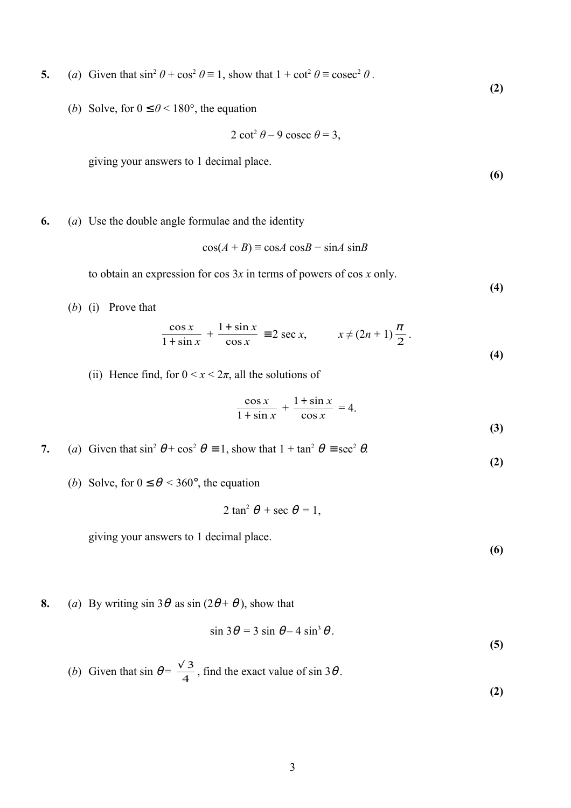**5.** (*a*) Given that  $\sin^2 \theta + \cos^2 \theta \equiv 1$ , show that  $1 + \cot^2 \theta \equiv \csc^2 \theta$ .

(*b*) Solve, for  $0 \le \theta < 180^{\circ}$ , the equation

$$
2 \cot^2 \theta - 9 \csc \theta = 3,
$$

giving your answers to 1 decimal place.

**(6)**

**(2)**

**6.** (*a*) Use the double angle formulae and the identity

$$
\cos(A + B) \equiv \cos A \cos B - \sin A \sin B
$$

to obtain an expression for cos 3*x* in terms of powers of cos *x* only.

**(4)**

(*b*) (i) Prove that

$$
\frac{\cos x}{1+\sin x} + \frac{1+\sin x}{\cos x} \equiv 2 \sec x, \qquad x \neq (2n+1)\frac{\pi}{2}.
$$
\n(4)

(ii) Hence find, for  $0 \le x \le 2\pi$ , all the solutions of

$$
\frac{\cos x}{1+\sin x} + \frac{1+\sin x}{\cos x} = 4.
$$
 (3)

**7.** (*a*) Given that  $\sin^2 \theta + \cos^2 \theta = 1$ , show that  $1 + \tan^2 \theta = \sec^2 \theta$ .

(*b*) Solve, for  $0 \le \theta \le 360^{\circ}$ , the equation

$$
2 \tan^2 \theta + \sec \theta = 1,
$$

giving your answers to 1 decimal place.

**(6)**

**(5)**

**(2)**

**8.** (*a*) By writing sin  $3\theta$  as sin ( $2\theta + \theta$ ), show that

$$
\sin 3\theta = 3 \sin \theta - 4 \sin^3 \theta.
$$

(b) Given that 
$$
\sin \theta = \frac{\sqrt{3}}{4}
$$
, find the exact value of  $\sin 3\theta$ . (2)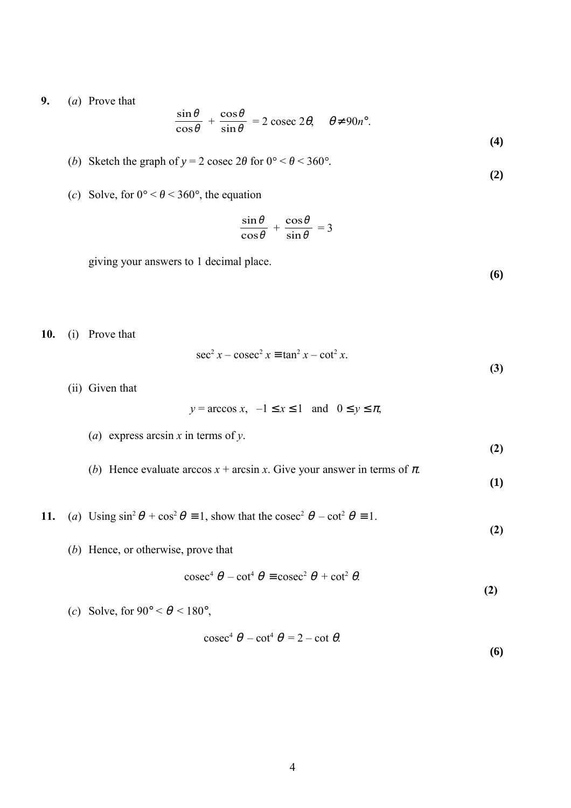**9.** (*a*) Prove that

$$
\frac{\sin \theta}{\cos \theta} + \frac{\cos \theta}{\sin \theta} = 2 \csc 2\theta, \quad \theta \neq 90n^{\circ}.
$$
 (4)

- (*b*) Sketch the graph of  $y = 2$  cosec  $2\theta$  for  $0^\circ < \theta < 360^\circ$ .
- (*c*) Solve, for  $0^{\circ} < \theta < 360^{\circ}$ , the equation

$$
\frac{\sin\theta}{\cos\theta} + \frac{\cos\theta}{\sin\theta} = 3
$$

giving your answers to 1 decimal place.

**(6)**

**(2)**

**10.** (i) Prove that

$$
\sec^2 x - \csc^2 x \equiv \tan^2 x - \cot^2 x.
$$
 (3)

(ii) Given that

$$
y = \arccos x
$$
,  $-1 \le x \le 1$  and  $0 \le y \le \pi$ ,

(a) express arcsin 
$$
x
$$
 in terms of  $y$ .

(*b*) Hence evaluate arccos  $x + \arcsin x$ . Give your answer in terms of  $\pi$ .

**(1)**

**(2)**

 **(2)**

- **11.** (*a*) Using  $\sin^2 \theta + \cos^2 \theta = 1$ , show that the cosec<sup>2</sup>  $\theta \cot^2 \theta = 1$ .
	- (*b*) Hence, or otherwise, prove that

$$
\csc^4 \theta - \cot^4 \theta \equiv \csc^2 \theta + \cot^2 \theta.
$$
 (2)

(*c*) Solve, for  $90^{\circ} < \theta < 180^{\circ}$ ,

$$
\csc^4 \theta - \cot^4 \theta = 2 - \cot \theta.
$$
 (6)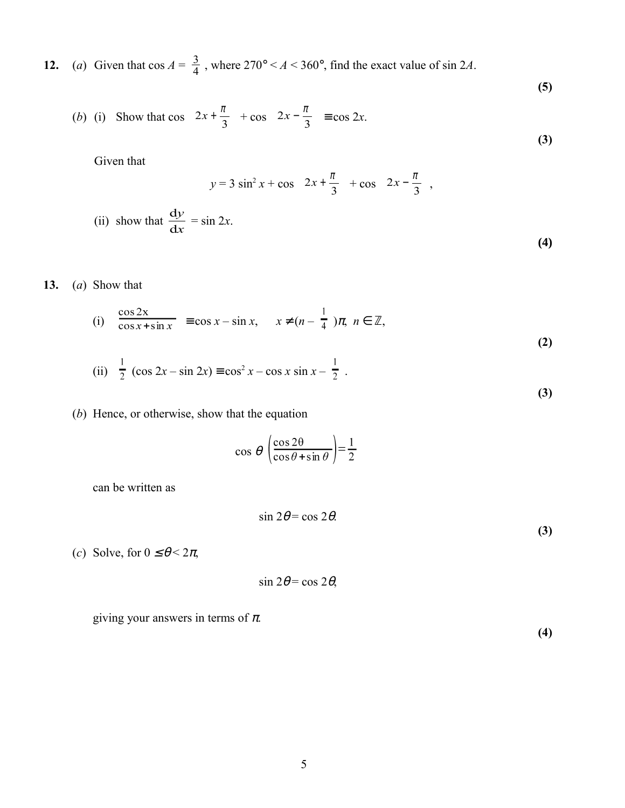**12.** (*a*) Given that  $\cos A = \frac{3}{4}$ , where  $270^{\circ} < A < 360^{\circ}$ , find the exact value of  $\sin 2A$ .

(b) (i) Show that 
$$
\cos\left(2x + \frac{\pi}{3}\right) + \cos\left(2x - \frac{\pi}{3}\right) \equiv \cos 2x.
$$
 (3)

Given that

$$
y = 3 \sin^2 x + \cos \left( 2x + \frac{\pi}{3} \right) + \cos \left( 2x - \frac{\pi}{3} \right),
$$
  
(ii) show that  $\frac{dy}{dx} = \sin 2x$ . (4)

### **13.** (*a*) Show that

(i) 
$$
\frac{\cos 2x}{\cos x + \sin x} \equiv \cos x - \sin x, \quad x \neq (n - \frac{1}{4})\pi, n \in \mathbb{Z},
$$
 (2)

(ii) 
$$
\frac{1}{2} (\cos 2x - \sin 2x) \equiv \cos^2 x - \cos x \sin x - \frac{1}{2}
$$
. (3)

(*b*) Hence, or otherwise, show that the equation

$$
\cos \theta \left( \frac{\cos 2\theta}{\cos \theta + \sin \theta} \right) = \frac{1}{2}
$$

can be written as

$$
\sin 2\theta = \cos 2\theta.
$$

(*c*) Solve, for  $0 \le \theta \le 2\pi$ ,

$$
\sin 2\theta = \cos 2\theta,
$$

giving your answers in terms of  $\pi$ .

 **(4)**

**(3)**

**(5)**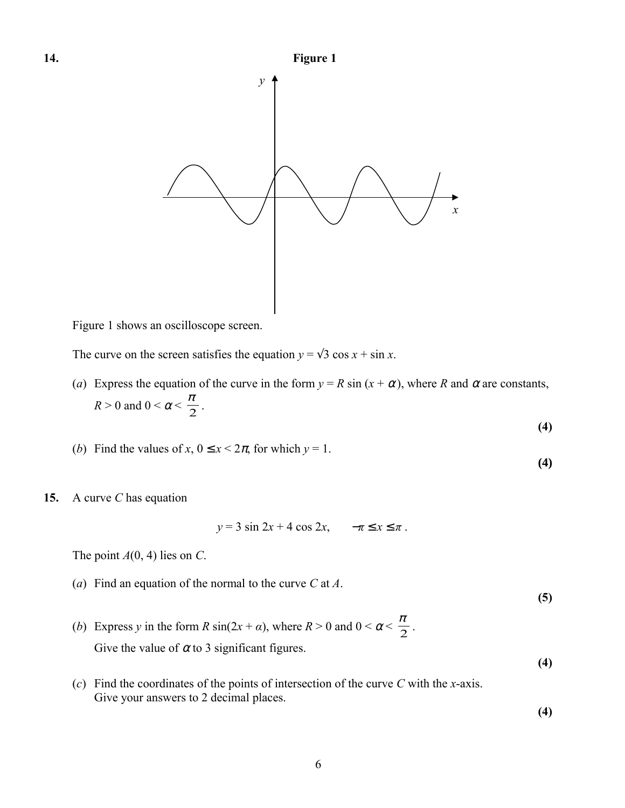

Figure 1 shows an oscilloscope screen.

The curve on the screen satisfies the equation  $y = \sqrt{3} \cos x + \sin x$ .

(*a*) Express the equation of the curve in the form  $y = R \sin(x + \alpha)$ , where *R* and  $\alpha$  are constants,  $R > 0$  and  $0 < \alpha < \frac{\pi}{2}$ .

$$
(4)
$$

- (*b*) Find the values of *x*,  $0 \le x \le 2\pi$ , for which  $y = 1$ . **(4)**
- **15.** A curve *C* has equation

$$
y = 3\sin 2x + 4\cos 2x, \quad -\pi \le x \le \pi.
$$

The point  $A(0, 4)$  lies on *C*.

(*a*) Find an equation of the normal to the curve *C* at *A*.

**(5)**

- (*b*) Express *y* in the form *R* sin( $2x + a$ ), where  $R > 0$  and  $0 < \alpha < \frac{\pi}{2}$ . Give the value of  $\alpha$  to 3 significant figures.
- (*c*) Find the coordinates of the points of intersection of the curve *C* with the *x*-axis. Give your answers to 2 decimal places.

**(4)**

**(4)**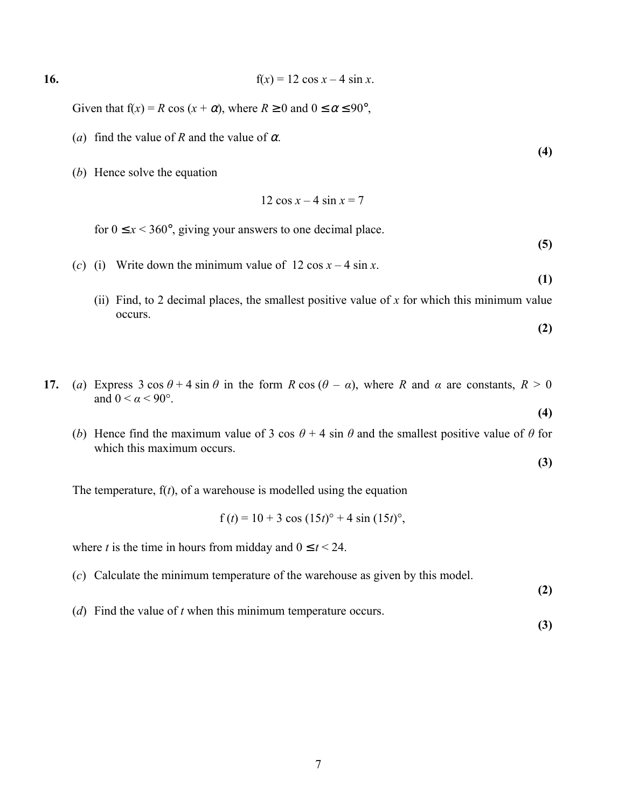16. 
$$
f(x) = 12 \cos x - 4 \sin x.
$$

Given that  $f(x) = R \cos(x + \alpha)$ , where  $R \ge 0$  and  $0 \le \alpha \le 90^{\circ}$ ,

- (*a*) find the value of *R* and the value of  $\alpha$ .
- (*b*) Hence solve the equation

$$
12\cos x - 4\sin x = 7
$$

for  $0 \le x < 360^{\circ}$ , giving your answers to one decimal place.

- (*c*) (i) Write down the minimum value of  $12 \cos x 4 \sin x$ .
	- (ii) Find, to 2 decimal places, the smallest positive value of *x* for which this minimum value occurs.
- **17.** (*a*) Express 3 cos  $\theta$  + 4 sin  $\theta$  in the form *R* cos ( $\theta$  *α*), where *R* and *α* are constants,  $R > 0$ and  $0 < \alpha < 90^\circ$ .
	- (*b*) Hence find the maximum value of 3 cos  $\theta$  + 4 sin  $\theta$  and the smallest positive value of  $\theta$  for which this maximum occurs.

The temperature,  $f(t)$ , of a warehouse is modelled using the equation

$$
f(t) = 10 + 3 \cos(15t)^{\circ} + 4 \sin(15t)^{\circ}
$$
,

where *t* is the time in hours from midday and  $0 \le t < 24$ .

(*c*) Calculate the minimum temperature of the warehouse as given by this model.

**(2)**

**(4)**

**(5)**

**(1)**

**(2)**

**(4)**

**(3)**

(*d*) Find the value of *t* when this minimum temperature occurs.

**(3)**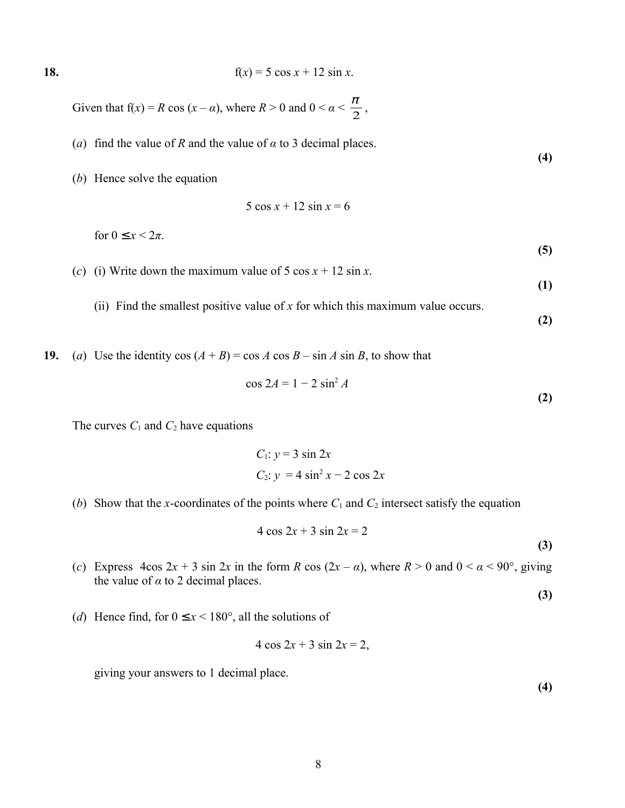18. 
$$
f(x) = 5 \cos x + 12 \sin x.
$$

Given that  $f(x) = R \cos(x - \alpha)$ , where  $R > 0$  and  $0 < \alpha < \frac{\pi}{2}$ ,

(*a*) find the value of *R* and the value of  $\alpha$  to 3 decimal places.

(*b*) Hence solve the equation

$$
5\cos x + 12\sin x = 6
$$

for  $0 \leq x \leq 2\pi$ .

(*c*) (i) Write down the maximum value of 5 cos  $x + 12 \sin x$ .

**(1)**

**(2)**

**(5)**

**(4)**

(ii) Find the smallest positive value of 
$$
x
$$
 for which this maximum value occurs. (2)

**19.** (*a*) Use the identity cos  $(A + B) = \cos A \cos B - \sin A \sin B$ , to show that

$$
\cos 2A = 1 - 2 \sin^2 A
$$

The curves  $C_1$  and  $C_2$  have equations

$$
C_1: y = 3 \sin 2x
$$
  

$$
C_2: y = 4 \sin^2 x - 2 \cos 2x
$$

(*b*) Show that the *x*-coordinates of the points where  $C_1$  and  $C_2$  intersect satisfy the equation

$$
4 \cos 2x + 3 \sin 2x = 2
$$
 (3)

(*c*) Express  $4\cos 2x + 3 \sin 2x$  in the form *R*  $\cos (2x - a)$ , where  $R > 0$  and  $0 < \alpha < 90^{\circ}$ , giving the value of  $\alpha$  to 2 decimal places.

**(3)**

(*d*) Hence find, for  $0 \le x < 180^\circ$ , all the solutions of

$$
4\cos 2x + 3\sin 2x = 2,
$$

giving your answers to 1 decimal place.

**(4)**